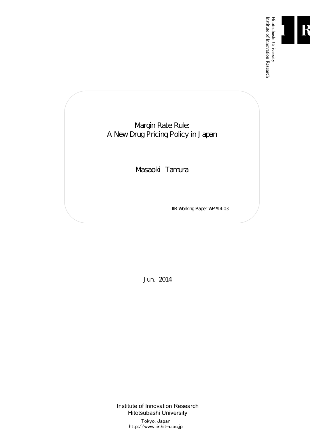

Institute of Innovation Research

Margin Rate Rule: A New Drug Pricing Policy in Japan

Masaoki Tamura

IIR Working Paper WP#14-03

Jun. 2014

Institute of Innovation Research Hitotsubashi University Tokyo, Japan http://www.iir.hit-u.ac.jp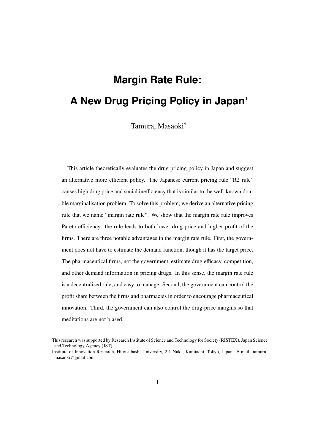# **Margin Rate Rule: A New Drug Pricing Policy in Japan**∗

Tamura, Masaoki†

This article theoretically evaluates the drug pricing policy in Japan and suggest an alternative more efficient policy. The Japanese current pricing rule "R2 rule" causes high drug price and social inefficiency that is similar to the well-known double marginalisation problem. To solve this problem, we derive an alternative pricing rule that we name "margin rate rule". We show that the margin rate rule improves Pareto efficiency: the rule leads to both lower drug price and higher profit of the firms. There are three notable advantages in the margin rate rule. First, the government does not have to estimate the demand function, though it has the target price. The pharmaceutical firms, not the government, estimate drug efficacy, competition, and other demand information in pricing drugs. In this sense, the margin rate rule is a decentralised rule, and easy to manage. Second, the government can control the profit share between the firms and pharmacies in order to encourage pharmaceutical innovation. Third, the government can also control the drug-price margins so that meditations are not biased.

<sup>∗</sup>This research was supported by Research Institute of Science and Technology for Society (RISTEX), Japan Science and Technology Agency (JST).

<sup>†</sup> Institute of Innovation Research, Hitotsubashi University, 2-1 Naka, Kunitachi, Tokyo, Japan. E-mail: tamuramasaoki@gmail.com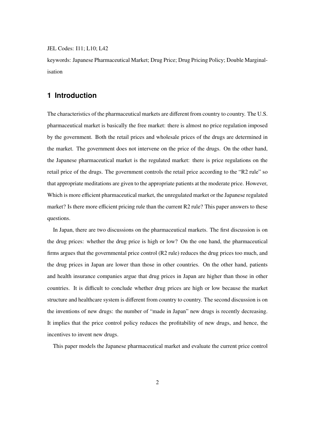JEL Codes: I11; L10; L42

keywords: Japanese Pharmaceutical Market; Drug Price; Drug Pricing Policy; Double Marginalisation

### **1 Introduction**

The characteristics of the pharmaceutical markets are different from country to country. The U.S. pharmaceutical market is basically the free market: there is almost no price regulation imposed by the government. Both the retail prices and wholesale prices of the drugs are determined in the market. The government does not intervene on the price of the drugs. On the other hand, the Japanese pharmaceutical market is the regulated market: there is price regulations on the retail price of the drugs. The government controls the retail price according to the "R2 rule" so that appropriate meditations are given to the appropriate patients at the moderate price. However, Which is more efficient pharmaceutical market, the unregulated market or the Japanese regulated market? Is there more efficient pricing rule than the current R2 rule? This paper answers to these questions.

In Japan, there are two discussions on the pharmaceutical markets. The first discussion is on the drug prices: whether the drug price is high or low? On the one hand, the pharmaceutical firms argues that the governmental price control (R2 rule) reduces the drug prices too much, and the drug prices in Japan are lower than those in other countries. On the other hand, patients and health insurance companies argue that drug prices in Japan are higher than those in other countries. It is difficult to conclude whether drug prices are high or low because the market structure and healthcare system is different from country to country. The second discussion is on the inventions of new drugs: the number of "made in Japan" new drugs is recently decreasing. It implies that the price control policy reduces the profitability of new drugs, and hence, the incentives to invent new drugs.

This paper models the Japanese pharmaceutical market and evaluate the current price control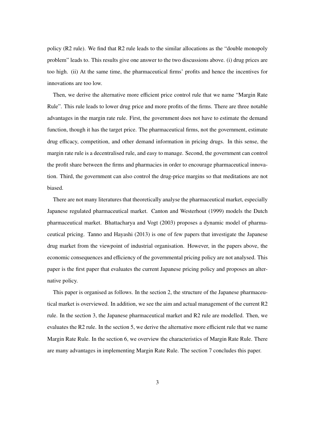policy (R2 rule). We find that R2 rule leads to the similar allocations as the "double monopoly problem" leads to. This results give one answer to the two discussions above. (i) drug prices are too high. (ii) At the same time, the pharmaceutical firms' profits and hence the incentives for innovations are too low.

Then, we derive the alternative more efficient price control rule that we name "Margin Rate Rule". This rule leads to lower drug price and more profits of the firms. There are three notable advantages in the margin rate rule. First, the government does not have to estimate the demand function, though it has the target price. The pharmaceutical firms, not the government, estimate drug efficacy, competition, and other demand information in pricing drugs. In this sense, the margin rate rule is a decentralised rule, and easy to manage. Second, the government can control the profit share between the firms and pharmacies in order to encourage pharmaceutical innovation. Third, the government can also control the drug-price margins so that meditations are not biased.

There are not many literatures that theoretically analyse the pharmaceutical market, especially Japanese regulated pharmaceutical market. Canton and Westerhout (1999) models the Dutch pharmaceutical market. Bhattacharya and Vogt (2003) proposes a dynamic model of pharmaceutical pricing. Tanno and Hayashi (2013) is one of few papers that investigate the Japanese drug market from the viewpoint of industrial organisation. However, in the papers above, the economic consequences and efficiency of the governmental pricing policy are not analysed. This paper is the first paper that evaluates the current Japanese pricing policy and proposes an alternative policy.

This paper is organised as follows. In the section 2, the structure of the Japanese pharmaceutical market is overviewed. In addition, we see the aim and actual management of the current R2 rule. In the section 3, the Japanese pharmaceutical market and R2 rule are modelled. Then, we evaluates the R2 rule. In the section 5, we derive the alternative more efficient rule that we name Margin Rate Rule. In the section 6, we overview the characteristics of Margin Rate Rule. There are many advantages in implementing Margin Rate Rule. The section 7 concludes this paper.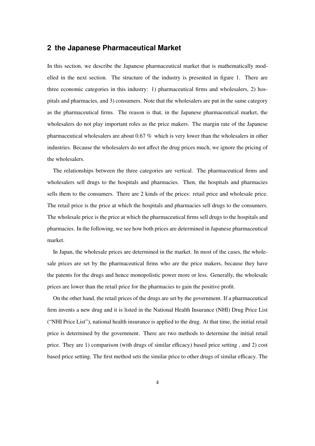### **2 the Japanese Pharmaceutical Market**

In this section, we describe the Japanese pharmaceutical market that is mathematically modelled in the next section. The structure of the industry is presented in figure 1. There are three economic categories in this industry: 1) pharmaceutical firms and wholesalers, 2) hospitals and pharmacies, and 3) consumers. Note that the wholesalers are put in the same category as the pharmaceutical firms. The reason is that, in the Japanese pharmaceutical market, the wholesalers do not play important roles as the price makers. The margin rate of the Japanese pharmaceutical wholesalers are about 0.67 % which is very lower than the wholesalers in other industries. Because the wholesalers do not affect the drug prices much, we ignore the pricing of the wholesalers.

The relationships between the three categories are vertical. The pharmaceutical firms and wholesalers sell drugs to the hospitals and pharmacies. Then, the hospitals and pharmacies sells them to the consumers. There are 2 kinds of the prices: retail price and wholesale price. The retail price is the price at which the hospitals and pharmacies sell drugs to the consumers. The wholesale price is the price at which the pharmaceutical firms sell drugs to the hospitals and pharmacies. In the following, we see how both prices are determined in Japanese pharmaceutical market.

In Japan, the wholesale prices are determined in the market. In most of the cases, the wholesale prices are set by the pharmaceutical firms who are the price makers, because they have the patents for the drugs and hence monopolistic power more or less. Generally, the wholesale prices are lower than the retail price for the pharmacies to gain the positive profit.

On the other hand, the retail prices of the drugs are set by the government. If a pharmaceutical firm invents a new drug and it is listed in the National Health Insurance (NHI) Drug Price List ("NHI Price List"), national health insurance is applied to the drug. At that time, the initial retail price is determined by the government. There are two methods to determine the initial retail price. They are 1) comparison (with drugs of similar efficacy) based price setting , and 2) cost based price setting. The first method sets the similar price to other drugs of similar efficacy. The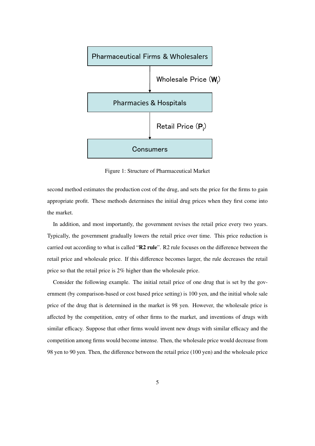

Figure 1: Structure of Pharmaceutical Market

second method estimates the production cost of the drug, and sets the price for the firms to gain appropriate profit. These methods determines the initial drug prices when they first come into the market.

In addition, and most importantly, the government revises the retail price every two years. Typically, the government gradually lowers the retail price over time. This price reduction is carried out according to what is called "R2 rule". R2 rule focuses on the difference between the retail price and wholesale price. If this difference becomes larger, the rule decreases the retail price so that the retail price is 2% higher than the wholesale price.

Consider the following example. The initial retail price of one drug that is set by the government (by comparison-based or cost based price setting) is 100 yen, and the initial whole sale price of the drug that is determined in the market is 98 yen. However, the wholesale price is affected by the competition, entry of other firms to the market, and inventions of drugs with similar efficacy. Suppose that other firms would invent new drugs with similar efficacy and the competition among firms would become intense. Then, the wholesale price would decrease from 98 yen to 90 yen. Then, the difference between the retail price (100 yen) and the wholesale price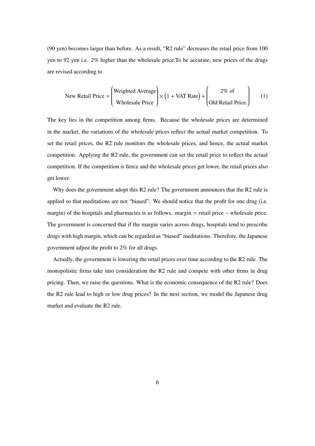(90 yen) becomes larger than before. As a result, "R2 rule" decreases the retail price from 100 yen to 92 yen i.e. 2% higher than the wholesale price.To be accurate, new prices of the drugs are revised according to

New Retail Price = 
$$
\left(\begin{array}{c}\text{Weighted Average} \\ \text{Wholesale Price}\end{array}\right) \times \left(1 + \text{VAT Rate}\right) + \left(\begin{array}{c}\n2\% \text{ of } \\ \text{Old Retail Price.}\n\end{array}\right)
$$
 (1)

The key lies in the competition among firms. Because the wholesale prices are determined in the market, the variations of the wholesale prices reflect the actual market competition. To set the retail prices, the R2 rule monitors the wholesale prices, and hence, the actual market competition. Applying the R2 rule, the government can set the retail price to reflect the actual competition. If the competition is fierce and the wholesale prices get lower, the retail prices also get lower.

Why does the government adopt this R2 rule? The government announces that the R2 rule is applied so that meditations are not "biased". We should notice that the profit for one drug (i.e. margin) of the hospitals and pharmacies is as follows. margin = retail price – wholesale price. The government is concerned that if the margin varies across drugs, hospitals tend to prescribe drugs with high margin, which can be regarded as "biased" meditations. Therefore, the Japanese government adjust the profit to 2% for all drugs.

Actually, the government is lowering the retail prices over time according to the R2 rule. The monopolistic firms take into consideration the R2 rule and compete with other firms in drug pricing. Then, we raise the questions. What is the economic consequence of the R2 rule? Does the R2 rule lead to high or low drug prices? In the next section, we model the Japanese drug market and evaluate the R2 rule.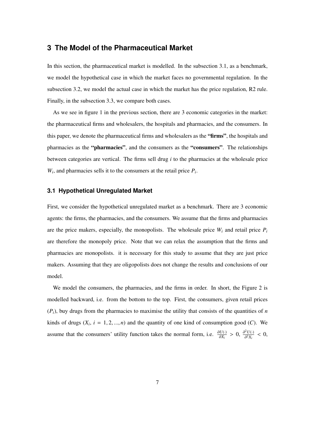### **3 The Model of the Pharmaceutical Market**

In this section, the pharmaceutical market is modelled. In the subsection 3.1, as a benchmark, we model the hypothetical case in which the market faces no governmental regulation. In the subsection 3.2, we model the actual case in which the market has the price regulation, R2 rule. Finally, in the subsection 3.3, we compare both cases.

As we see in figure 1 in the previous section, there are 3 economic categories in the market: the pharmaceutical firms and wholesalers, the hospitals and pharmacies, and the consumers. In this paper, we denote the pharmaceutical firms and wholesalers as the "firms", the hospitals and pharmacies as the "pharmacies", and the consumers as the "consumers". The relationships between categories are vertical. The firms sell drug *i* to the pharmacies at the wholesale price  $W_i$ , and pharmacies sells it to the consumers at the retail price  $P_i$ .

#### **3.1 Hypothetical Unregulated Market**

First, we consider the hypothetical unregulated market as a benchmark. There are 3 economic agents: the firms, the pharmacies, and the consumers. We assume that the firms and pharmacies are the price makers, especially, the monopolists. The wholesale price  $W_i$  and retail price  $P_i$ are therefore the monopoly price. Note that we can relax the assumption that the firms and pharmacies are monopolists. it is necessary for this study to assume that they are just price makers. Assuming that they are oligopolists does not change the results and conclusions of our model.

We model the consumers, the pharmacies, and the firms in order. In short, the Figure 2 is modelled backward, i.e. from the bottom to the top. First, the consumers, given retail prices  $(P_i)$ , buy drugs from the pharmacies to maximise the utility that consists of the quantities of *n* kinds of drugs  $(X_i, i = 1, 2, ..., n)$  and the quantity of one kind of consumption good  $(C)$ . We assume that the consumers' utility function takes the normal form, i.e.  $\frac{\partial U(\cdot)}{\partial X_i} > 0$ ,  $\frac{\partial^2 U(\cdot)}{\partial^2 X_i} < 0$ ,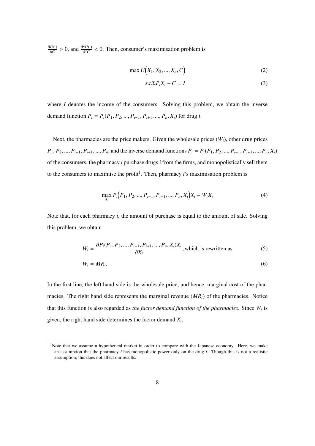$\frac{\partial U(\cdot)}{\partial C}$  > 0, and  $\frac{\partial^2 U(\cdot)}{\partial^2 C}$  < 0. Then, consumer's maximisation problem is

$$
\max U(X_1, X_2, ..., X_n, C) \tag{2}
$$

$$
s.t. \Sigma P_i X_i + C = I \tag{3}
$$

where *I* denotes the income of the consumers. Solving this problem, we obtain the inverse demand function  $P_i = P_i(P_1, P_2, ..., P_{i-1}, P_{i+1}, ..., P_n, X_i)$  for drug *i*.

Next, the pharmacies are the price makers. Given the wholesale prices  $(W_i)$ , other drug prices  $P_1, P_2, ..., P_{i-1}, P_{i+1}, ..., P_n$ , and the inverse demand functions  $P_i = P_i(P_1, P_2, ..., P_{i-1}, P_{i+1}, ..., P_n, X_i)$ of the consumers, the pharmacy *i* purchase drugs *i* from the firms, and monopolistically sell them to the consumers to maximise the profit<sup>1</sup>. Then, pharmacy *i*'s maximisation problem is

$$
\max_{X_i} P_i(P_1, P_2, ..., P_{i-1}, P_{i+1}, ..., P_n, X_i)X_i - W_iX_i
$$
\n(4)

Note that, for each pharmacy *i*, the amount of purchase is equal to the amount of sale. Solving this problem, we obtain

$$
W_i = \frac{\partial P_i(P_1, P_2, ..., P_{i-1}, P_{i+1}, ..., P_n, X_i)X_i}{\partial X_i},
$$
 which is rewritten as (5)

$$
W_i = MR_i. \tag{6}
$$

In the first line, the left hand side is the wholesale price, and hence, marginal cost of the pharmacies. The right hand side represents the marginal revenue (*MRi*) of the pharmacies. Notice that this function is also regarded as *the factor demand function of the pharmacies*. Since *W<sup>i</sup>* is given, the right hand side determines the factor demand *X<sup>i</sup>* .

<sup>&</sup>lt;sup>1</sup>Note that we assume a hypothetical market in order to compare with the Japanese economy. Here, we make an assumption that the pharmacy *i* has monopolistic power only on the drug *i*. Though this is not a realistic assumption, this does not affect our results.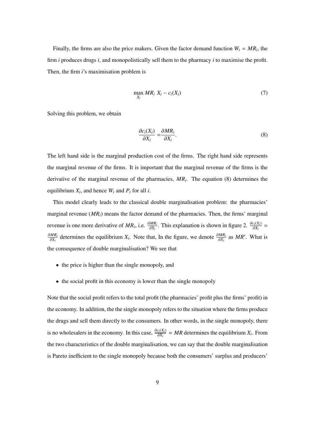Finally, the firms are also the price makers. Given the factor demand function  $W_i = MR_i$ , the firm *i* produces drugs *i*, and monopolistically sell them to the pharmacy *i* to maximise the profit. Then, the firm *i*'s maximisation problem is

$$
\max_{X_i} MR_i X_i - c_i(X_i) \tag{7}
$$

Solving this problem, we obtain

$$
\frac{\partial c_i(X_i)}{\partial X_i} = \frac{\partial MR_i}{\partial X_i}.\tag{8}
$$

The left hand side is the marginal production cost of the firms. The right hand side represents the marginal revenue of the firms. It is important that the marginal revenue of the firms is the derivative of the marginal revenue of the pharmacies, *MR<sup>i</sup>* . The equation (8) determines the equilibrium *X<sup>i</sup>* , and hence *W<sup>i</sup>* and *P<sup>i</sup>* for all *i*.

This model clearly leads to the classical double marginalisation problem: the pharmacies' marginal revenue  $(MR_i)$  means the factor demand of the pharmacies. Then, the firms' marginal revenue is one more derivative of  $MR_i$ , i.e.  $\frac{\partial MR_i}{\partial X_i}$ . This explanation is shown in figure 2.  $\frac{\partial c_i(X_i)}{\partial X_i}$ ∂*MR<sup>i</sup> MR<sub>i</sub>*</sub> determines the equilibrium *X<sub>i</sub>*. Note that, In the figure, we denote  $\frac{\partial MR_i}{\partial X_i}$  as *MR'*. What is the consequence of double marginalisation? We see that

- the price is higher than the single monopoly, and
- the social profit in this economy is lower than the single monopoly

Note that the social profit refers to the total profit (the pharmacies' profit plus the firms' profit) in the economy. In addition, the the single monopoly refers to the situation where the firms produce the drugs and sell them directly to the consumers. In other words, in the single monopoly, there is no wholesalers in the economy. In this case,  $\frac{\partial c_i(X_i)}{\partial X_i} = MR$  determines the equilibrium  $X_i$ . From the two characteristics of the double marginalisation, we can say that the double marginalisation is Pareto inefficient to the single monopoly because both the consumers' surplus and producers'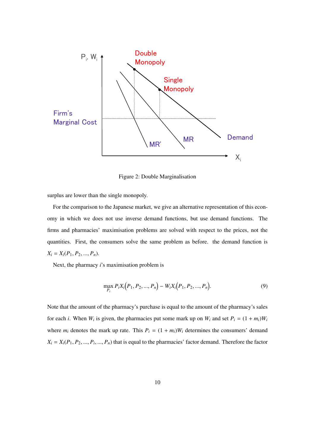

Figure 2: Double Marginalisation

surplus are lower than the single monopoly.

For the comparison to the Japanese market, we give an alternative representation of this economy in which we does not use inverse demand functions, but use demand functions. The firms and pharmacies' maximisation problems are solved with respect to the prices, not the quantities. First, the consumers solve the same problem as before. the demand function is  $X_i = X_i(P_1, P_2, ..., P_n).$ 

Next, the pharmacy *i*'s maximisation problem is

$$
\max_{P_i} P_i X_i \big( P_1, P_2, ..., P_n \big) - W_i X_i \big( P_1, P_2, ..., P_n \big). \tag{9}
$$

Note that the amount of the pharmacy's purchase is equal to the amount of the pharmacy's sales for each *i*. When  $W_i$  is given, the pharmacies put some mark up on  $W_i$  and set  $P_i = (1 + m_i)W_i$ where  $m_i$  denotes the mark up rate. This  $P_i = (1 + m_i)W_i$  determines the consumers' demand  $X_i = X_i(P_1, P_2, ..., P_i, ..., P_n)$  that is equal to the pharmacies' factor demand. Therefore the factor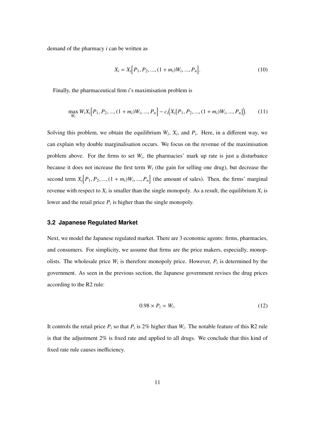demand of the pharmacy *i* can be written as

$$
X_i = X_i [P_1, P_2, ..., (1 + m_i)W_i, ..., P_n].
$$
\n(10)

Finally, the pharmaceutical firm *i*'s maximisation problem is

$$
\max_{W_i} W_i X_i [P_1, P_2, ..., (1 + m_i) W_i, ..., P_n] - c_i (X_i [P_1, P_2, ..., (1 + m_i) W_i, ..., P_n]).
$$
 (11)

Solving this problem, we obtain the equilibrium  $W_i$ ,  $X_i$ , and  $P_i$ . Here, in a different way, we can explain why double marginalisation occurs. We focus on the revenue of the maximisation problem above. For the firms to set  $W_i$ , the pharmacies' mark up rate is just a disturbance because it does not increase the first term  $W_i$  (the gain for selling one drug), but decrease the second term  $X_i \mid P_1, P_2, ..., (1 + m_i)W_i, ..., P_n$  (the amount of sales). Then, the firms' marginal revenue with respect to  $X_i$  is smaller than the single monopoly. As a result, the equilibrium  $X_i$  is lower and the retail price  $P_i$  is higher than the single monopoly.

#### **3.2 Japanese Regulated Market**

Next, we model the Japanese regulated market. There are 3 economic agents: firms, pharmacies, and consumers. For simplicity, we assume that firms are the price makers, especially, monopolists. The wholesale price  $W_i$  is therefore monopoly price. However,  $P_i$  is determined by the government. As seen in the previous section, the Japanese government revises the drug prices according to the R2 rule:

$$
0.98 \times P_i = W_i. \tag{12}
$$

It controls the retail price  $P_i$  so that  $P_i$  is 2% higher than  $W_i$ . The notable feature of this R2 rule is that the adjustment 2% is fixed rate and applied to all drugs. We conclude that this kind of fixed rate rule causes inefficiency.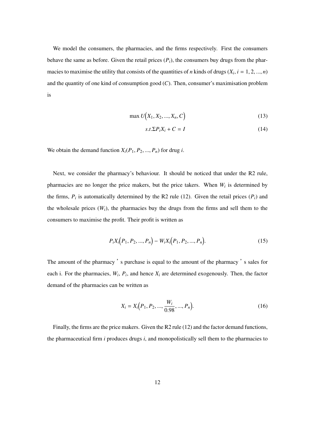We model the consumers, the pharmacies, and the firms respectively. First the consumers behave the same as before. Given the retail prices  $(P_i)$ , the consumers buy drugs from the pharmacies to maximise the utility that consists of the quantities of *n* kinds of drugs ( $X_i$ ,  $i = 1, 2, ..., n$ ) and the quantity of one kind of consumption good (*C*). Then, consumer's maximisation problem is

$$
\max U(X_1, X_2, ..., X_n, C) \tag{13}
$$

$$
s.t. \Sigma P_i X_i + C = I \tag{14}
$$

We obtain the demand function  $X_i(P_1, P_2, ..., P_n)$  for drug *i*.

Next, we consider the pharmacy's behaviour. It should be noticed that under the R2 rule, pharmacies are no longer the price makers, but the price takers. When  $W_i$  is determined by the firms,  $P_i$  is automatically determined by the R2 rule (12). Given the retail prices  $(P_i)$  and the wholesale prices  $(W_i)$ , the pharmacies buy the drugs from the firms and sell them to the consumers to maximise the profit. Their profit is written as

$$
P_i X_i (P_1, P_2, ..., P_n) - W_i X_i (P_1, P_2, ..., P_n).
$$
 (15)

The amount of the pharmacy 's purchase is equal to the amount of the pharmacy 's sales for each i. For the pharmacies,  $W_i$ ,  $P_i$ , and hence  $X_i$  are determined exogenously. Then, the factor demand of the pharmacies can be written as

$$
X_i = X_i(P_1, P_2, ..., \frac{W_i}{0.98}, ..., P_n).
$$
 (16)

Finally, the firms are the price makers. Given the R2 rule (12) and the factor demand functions, the pharmaceutical firm *i* produces drugs *i*, and monopolistically sell them to the pharmacies to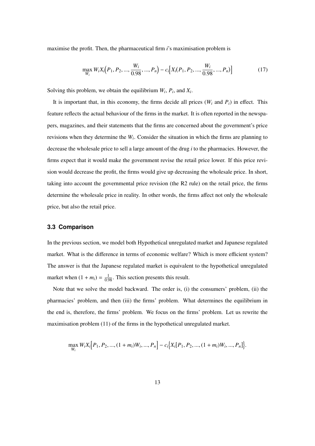maximise the profit. Then, the pharmaceutical firm *i*'s maximisation problem is

$$
\max_{W_i} W_i X_i \big( P_1, P_2, ..., \frac{W_i}{0.98}, ..., P_n \big) - c_i \big[ X_i (P_1, P_2, ..., \frac{W_i}{0.98}, ..., P_n) \big] \tag{17}
$$

Solving this problem, we obtain the equilibrium  $W_i$ ,  $P_i$ , and  $X_i$ .

It is important that, in this economy, the firms decide all prices  $(W_i \text{ and } P_i)$  in effect. This feature reflects the actual behaviour of the firms in the market. It is often reported in the newspapers, magazines, and their statements that the firms are concerned about the government's price revisions when they determine the *W<sup>i</sup>* . Consider the situation in which the firms are planning to decrease the wholesale price to sell a large amount of the drug *i* to the pharmacies. However, the firms expect that it would make the government revise the retail price lower. If this price revision would decrease the profit, the firms would give up decreasing the wholesale price. In short, taking into account the governmental price revision (the R2 rule) on the retail price, the firms determine the wholesale price in reality. In other words, the firms affect not only the wholesale price, but also the retail price.

#### **3.3 Comparison**

In the previous section, we model both Hypothetical unregulated market and Japanese regulated market. What is the difference in terms of economic welfare? Which is more efficient system? The answer is that the Japanese regulated market is equivalent to the hypothetical unregulated market when  $(1 + m_i) = \frac{1}{0.98}$ . This section presents this result.

Note that we solve the model backward. The order is, (i) the consumers' problem, (ii) the pharmacies' problem, and then (iii) the firms' problem. What determines the equilibrium in the end is, therefore, the firms' problem. We focus on the firms' problem. Let us rewrite the maximisation problem (11) of the firms in the hypothetical unregulated market.

$$
\max_{W_i} W_i X_i [P_1, P_2, ..., (1 + m_i) W_i, ..., P_n] - c_i \{X_i [P_1, P_2, ..., (1 + m_i) W_i, ..., P_n]\}.
$$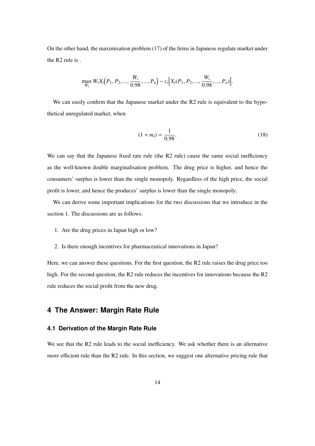On the other hand, the maximisation problem (17) of the firms in Japanese regulate market under the R2 rule is .

$$
\max_{W_i} W_i X_i (P_1, P_2, ..., \frac{W_i}{0.98}, ..., P_n) - c_i [X_i (P_1, P_2, ..., \frac{W_i}{0.98}, ..., P_n)].
$$

We can easily confirm that the Japanese market under the R2 rule is equivalent to the hypothetical unregulated market, when

$$
(1 + m_i) = \frac{1}{0.98}.\tag{18}
$$

We can say that the Japanese fixed rate rule (the R2 rule) cause the same social inefficiency as the well-known double marginalisation problem. The drug price is higher, and hence the consumers' surplus is lower than the single monopoly. Regardless of the high price, the social profit is lower, and hence the produces' surplus is lower than the single monopoly.

We can derive some important implications for the two discussions that we introduce in the section 1. The discussions are as follows.

- 1. Are the drug prices in Japan high or low?
- 2. Is there enough incentives for pharmaceutical innovations in Japan?

Here, we can answer these questions. For the first question, the R2 rule raises the drug price too high. For the second question, the R2 rule reduces the incentives for innovations because the R2 rule reduces the social profit from the new drug.

### **4 The Answer: Margin Rate Rule**

#### **4.1 Derivation of the Margin Rate Rule**

We see that the R2 rule leads to the social inefficiency. We ask whether there is an alternative more efficient rule than the R2 rule. In this section, we suggest one alternative pricing rule that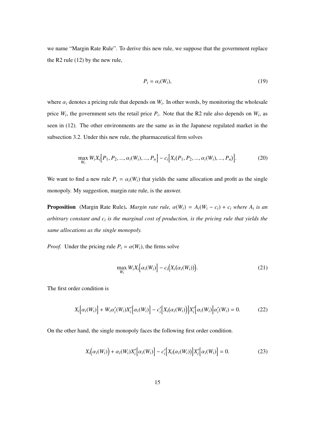we name "Margin Rate Rule". To derive this new rule, we suppose that the government replace the R2 rule (12) by the new rule,

$$
P_i = \alpha_i(W_i),\tag{19}
$$

where  $\alpha_i$  denotes a pricing rule that depends on  $W_i$ . In other words, by monitoring the wholesale price  $W_i$ , the government sets the retail price  $P_i$ . Note that the R2 rule also depends on  $W_i$ , as seen in (12). The other environments are the same as in the Japanese regulated market in the subsection 3.2. Under this new rule, the pharmaceutical firm solves

$$
\max_{W_i} W_i X_i [P_1, P_2, ..., \alpha_i(W_i), ..., P_n] - c_i [X_i (P_1, P_2, ..., \alpha_i(W_i), ..., P_n)].
$$
\n(20)

We want to find a new rule  $P_i = \alpha_i(W_i)$  that yields the same allocation and profit as the single monopoly. My suggestion, margin rate rule, is the answer.

**Proposition** (Margin Rate Rule). *Margin rate rule,*  $\alpha(W_i) = A_i(W_i - c_i) + c_i$  *where*  $A_i$  *is an arbitrary constant and c<sup>i</sup> is the marginal cost of production, is the pricing rule that yields the same allocations as the single monopoly.*

*Proof.* Under the pricing rule  $P_i = \alpha(W_i)$ , the firms solve

$$
\max_{W_i} W_i X_i \big[ \alpha_i(W_i) \big] - c_i \big( X_i (\alpha_i(W_i)) \big). \tag{21}
$$

The first order condition is

$$
X_i\big[\alpha_i(W_i)\big] + W_i\alpha_i'(W_i)X_i'\big[\alpha_i(W_i)\big] - c_i'\big[X_i(\alpha_i(W_i)\big]X_i'\big[\alpha_i(W_i)\big]\alpha_i'(W_i) = 0.
$$
 (22)

On the other hand, the single monopoly faces the following first order condition.

$$
X_i(\alpha_i(W_i)) + \alpha_i(W_i)X_i'[\alpha_i(W_i)] - c_i'[X_i(\alpha_i(W_i))]X_i'[\alpha_i(W_i)] = 0.
$$
\n(23)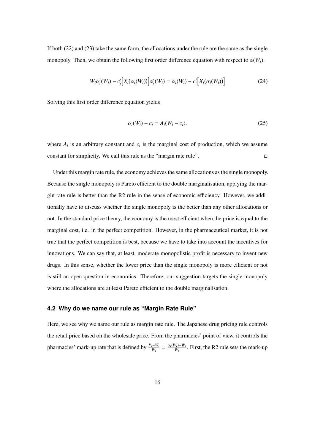If both (22) and (23) take the same form, the allocations under the rule are the same as the single monopoly. Then, we obtain the following first order difference equation with respect to  $\alpha(W_i)$ .

$$
W_i \alpha'_i(W_i) - c'_i \Big[ X_i(\alpha_i(W_i)) \Big] \alpha'_i(W_i) = \alpha_i(W_i) - c'_i \Big[ X_i(\alpha_i(W_i)) \Big]
$$
\n(24)

Solving this first order difference equation yields

$$
\alpha_i(W_i) - c_i = A_i(W_i - c_i), \qquad (25)
$$

where  $A_i$  is an arbitrary constant and  $c_i$  is the marginal cost of production, which we assume constant for simplicity. We call this rule as the "margin rate rule".  $□$ 

Under this margin rate rule, the economy achieves the same allocations as the single monopoly. Because the single monopoly is Pareto efficient to the double marginalisation, applying the margin rate rule is better than the R2 rule in the sense of economic efficiency. However, we additionally have to discuss whether the single monopoly is the better than any other allocations or not. In the standard price theory, the economy is the most efficient when the price is equal to the marginal cost, i.e. in the perfect competition. However, in the pharmaceutical market, it is not true that the perfect competition is best, because we have to take into account the incentives for innovations. We can say that, at least, moderate monopolistic profit is necessary to invent new drugs. In this sense, whether the lower price than the single monopoly is more efficient or not is still an open question in economics. Therefore, our suggestion targets the single monopoly where the allocations are at least Pareto efficient to the double marginalisation.

#### **4.2 Why do we name our rule as "Margin Rate Rule"**

Here, we see why we name our rule as margin rate rule. The Japanese drug pricing rule controls the retail price based on the wholesale price. From the pharmacies' point of view, it controls the pharmacies' mark-up rate that is defined by  $\frac{P_i - W_i}{W_i} = \frac{\alpha_i(W_i) - W_i}{W_i}$ . First, the R2 rule sets the mark-up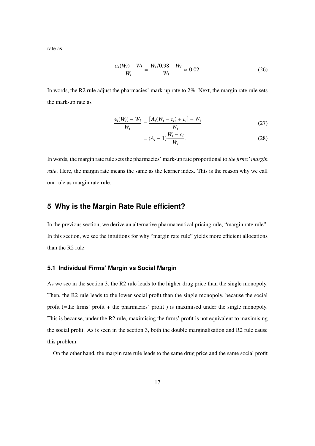rate as

$$
\frac{\alpha_i(W_i) - W_i}{W_i} = \frac{W_i/0.98 - W_i}{W_i} \approx 0.02.
$$
 (26)

In words, the R2 rule adjust the pharmacies' mark-up rate to 2%. Next, the margin rate rule sets the mark-up rate as

$$
\frac{\alpha_i(W_i) - W_i}{W_i} = \frac{[A_i(W_i - c_i) + c_i] - W_i}{W_i}
$$
\n(27)

$$
= (A_i - 1) \frac{W_i - c_i}{W_i}.
$$
 (28)

In words, the margin rate rule sets the pharmacies' mark-up rate proportional to *the firms' margin rate*. Here, the margin rate means the same as the learner index. This is the reason why we call our rule as margin rate rule.

### **5 Why is the Margin Rate Rule efficient?**

In the previous section, we derive an alternative pharmaceutical pricing rule, "margin rate rule". In this section, we see the intuitions for why "margin rate rule" yields more efficient allocations than the R2 rule.

#### **5.1 Individual Firms' Margin vs Social Margin**

As we see in the section 3, the R2 rule leads to the higher drug price than the single monopoly. Then, the R2 rule leads to the lower social profit than the single monopoly, because the social profit (=the firms' profit + the pharmacies' profit ) is maximised under the single monopoly. This is because, under the R2 rule, maximising the firms' profit is not equivalent to maximising the social profit. As is seen in the section 3, both the double marginalisation and R2 rule cause this problem.

On the other hand, the margin rate rule leads to the same drug price and the same social profit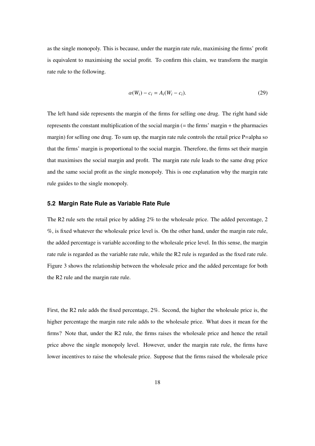as the single monopoly. This is because, under the margin rate rule, maximising the firms' profit is equivalent to maximising the social profit. To confirm this claim, we transform the margin rate rule to the following.

$$
\alpha(W_i) - c_i = A_i(W_i - c_i). \tag{29}
$$

The left hand side represents the margin of the firms for selling one drug. The right hand side represents the constant multiplication of the social margin  $(=$  the firms' margin  $+$  the pharmacies margin) for selling one drug. To sum up, the margin rate rule controls the retail price P=alpha so that the firms' margin is proportional to the social margin. Therefore, the firms set their margin that maximises the social margin and profit. The margin rate rule leads to the same drug price and the same social profit as the single monopoly. This is one explanation why the margin rate rule guides to the single monopoly.

#### **5.2 Margin Rate Rule as Variable Rate Rule**

The R2 rule sets the retail price by adding 2% to the wholesale price. The added percentage, 2 %, is fixed whatever the wholesale price level is. On the other hand, under the margin rate rule, the added percentage is variable according to the wholesale price level. In this sense, the margin rate rule is regarded as the variable rate rule, while the R2 rule is regarded as the fixed rate rule. Figure 3 shows the relationship between the wholesale price and the added percentage for both the R2 rule and the margin rate rule.

First, the R2 rule adds the fixed percentage, 2%. Second, the higher the wholesale price is, the higher percentage the margin rate rule adds to the wholesale price. What does it mean for the firms? Note that, under the R2 rule, the firms raises the wholesale price and hence the retail price above the single monopoly level. However, under the margin rate rule, the firms have lower incentives to raise the wholesale price. Suppose that the firms raised the wholesale price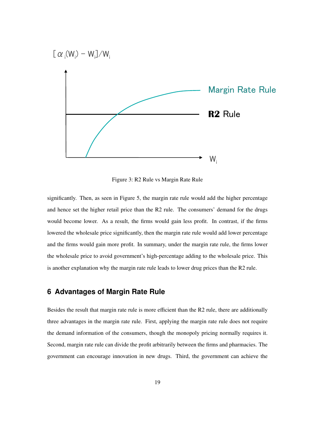

Figure 3: R2 Rule vs Margin Rate Rule

significantly. Then, as seen in Figure 5, the margin rate rule would add the higher percentage and hence set the higher retail price than the R2 rule. The consumers' demand for the drugs would become lower. As a result, the firms would gain less profit. In contrast, if the firms lowered the wholesale price significantly, then the margin rate rule would add lower percentage and the firms would gain more profit. In summary, under the margin rate rule, the firms lower the wholesale price to avoid government's high-percentage adding to the wholesale price. This is another explanation why the margin rate rule leads to lower drug prices than the R2 rule.

### **6 Advantages of Margin Rate Rule**

Besides the result that margin rate rule is more efficient than the R2 rule, there are additionally three advantages in the margin rate rule. First, applying the margin rate rule does not require the demand information of the consumers, though the monopoly pricing normally requires it. Second, margin rate rule can divide the profit arbitrarily between the firms and pharmacies. The government can encourage innovation in new drugs. Third, the government can achieve the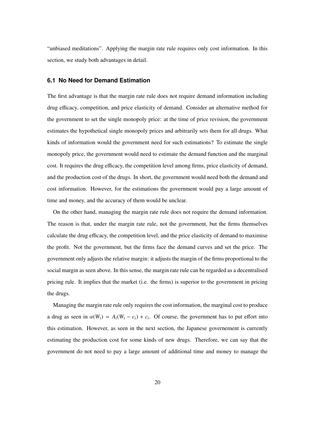"unbiased meditations". Applying the margin rate rule requires only cost information. In this section, we study both advantages in detail.

#### **6.1 No Need for Demand Estimation**

The first advantage is that the margin rate rule does not require demand information including drug efficacy, competition, and price elasticity of demand. Consider an alternative method for the government to set the single monopoly price: at the time of price revision, the government estimates the hypothetical single monopoly prices and arbitrarily sets them for all drugs. What kinds of information would the government need for such estimations? To estimate the single monopoly price, the government would need to estimate the demand function and the marginal cost. It requires the drug efficacy, the competition level among firms, price elasticity of demand, and the production cost of the drugs. In short, the government would need both the demand and cost information. However, for the estimations the government would pay a large amount of time and money, and the accuracy of them would be unclear.

On the other hand, managing the margin rate rule does not require the demand information. The reason is that, under the margin rate rule, not the government, but the firms themselves calculate the drug efficacy, the competition level, and the price elasticity of demand to maximise the profit. Not the government, but the firms face the demand curves and set the price. The government only adjusts the relative margin: it adjusts the margin of the firms proportional to the social margin as seen above. In this sense, the margin rate rule can be regarded as a decentralised pricing rule. It implies that the market (i.e. the firms) is superior to the government in pricing the drugs.

Managing the margin rate rule only requires the cost information, the marginal cost to produce a drug as seen in  $\alpha(W_i) = A_i(W_i - c_i) + c_i$ . Of course, the government has to put effort into this estimation. However, as seen in the next section, the Japanese governement is currently estimating the production cost for some kinds of new drugs. Therefore, we can say that the government do not need to pay a large amount of additional time and money to manage the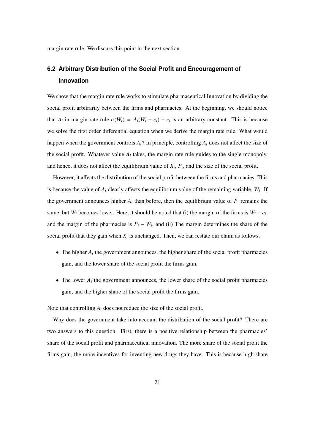margin rate rule. We discuss this point in the next section.

### **6.2 Arbitrary Distribution of the Social Profit and Encouragement of Innovation**

We show that the margin rate rule works to stimulate pharmaceutical Innovation by dividing the social profit arbitrarily between the firms and pharmacies. At the beginning, we should notice that  $A_i$  in margin rate rule  $\alpha(W_i) = A_i(W_i - c_i) + c_i$  is an arbitrary constant. This is because we solve the first order differential equation when we derive the margin rate rule. What would happen when the government controls  $A_i$ ? In principle, controlling  $A_i$  does not affect the size of the social profit. Whatever value  $A_i$  takes, the margin rate rule guides to the single monopoly, and hence, it does not affect the equilibrium value of  $X_i$ ,  $P_i$ , and the size of the social profit.

However, it affects the distribution of the social profit between the firms and pharmacies. This is because the value of  $A_i$  clearly affects the equilibrium value of the remaining variable,  $W_i$ . If the government announces higher  $A_i$  than before, then the equilibrium value of  $P_i$  remains the same, but *W<sub>i</sub>* becomes lower. Here, it should be noted that (i) the margin of the firms is  $W_i - c_i$ , and the margin of the pharmacies is  $P_i - W_i$ , and (ii) The margin determines the share of the social profit that they gain when  $X_i$  is unchanged. Then, we can restate our claim as follows.

- The higher  $A_i$  the government announces, the higher share of the social profit pharmacies gain, and the lower share of the social profit the firms gain.
- The lower  $A_i$  the government announces, the lower share of the social profit pharmacies gain, and the higher share of the social profit the firms gain.

Note that controlling  $A_i$  does not reduce the size of the social profit.

Why does the government take into account the distribution of the social profit? There are two answers to this question. First, there is a positive relationship between the pharmacies' share of the social profit and pharmaceutical innovation. The more share of the social profit the firms gain, the more incentives for inventing new drugs they have. This is because high share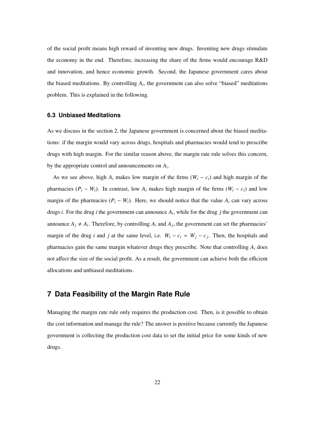of the social profit means high reward of inventing new drugs. Inventing new drugs stimulate the economy in the end. Therefore, increasing the share of the firms would encourage R&D and innovation, and hence economic growth. Second, the Japanese government cares about the biased meditations. By controlling  $A_i$ , the government can also solve "biased" meditations problem. This is explained in the following.

#### **6.3 Unbiased Meditations**

As we discuss in the section 2, the Japanese government is concerned about the biased meditations: if the margin would vary across drugs, hospitals and pharmacies would tend to prescribe drugs with high margin. For the similar reason above, the margin rate rule solves this concern, by the appropriate control and announcements on *A<sup>i</sup>* .

As we see above, high  $A_i$  makes low margin of the firms  $(W_i - c_i)$  and high margin of the pharmacies  $(P_i - W_i)$ . In contrast, low  $A_i$  makes high margin of the firms  $(W_i - c_i)$  and low margin of the pharmacies  $(P_i - W_i)$ . Here, we should notice that the value  $A_i$  can vary across drugs *i*. For the drug *i* the government can announce *A<sup>i</sup>* , while for the drug *j* the government can announce  $A_j \neq A_i$ . Therefore, by controlling  $A_i$  and  $A_j$ , the government can set the pharmacies' margin of the drug *i* and *j* at the same level, i.e.  $W_i - c_i = W_j - c_j$ . Then, the hospitals and pharmacies gain the same margin whatever drugs they prescribe. Note that controlling  $A_i$  does not affect the size of the social profit. As a result, the government can achieve both the efficient allocations and unbiased meditations.

### **7 Data Feasibility of the Margin Rate Rule**

Managing the margin rate rule only requires the production cost. Then, is it possible to obtain the cost information and manage the rule? The answer is positive because currently the Japanese government is collecting the production cost data to set the initial price for some kinds of new drugs.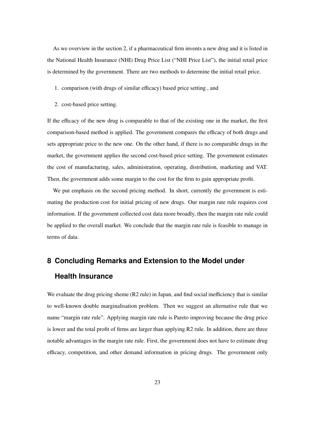As we overview in the section 2, if a pharmaceutical firm invents a new drug and it is listed in the National Health Insurance (NHI) Drug Price List ("NHI Price List"), the initial retail price is determined by the government. There are two methods to determine the initial retail price.

- 1. comparison (with drugs of similar efficacy) based price setting , and
- 2. cost-based price setting.

If the efficacy of the new drug is comparable to that of the existing one in the market, the first comparison-based method is applied. The government compares the efficacy of both drugs and sets appropriate price to the new one. On the other hand, if there is no comparable drugs in the market, the government applies the second cost-based price setting. The government estimates the cost of manufacturing, sales, administration, operating, distribution, marketing and VAT. Then, the government adds some margin to the cost for the firm to gain appropriate profit.

We put emphasis on the second pricing method. In short, currently the government is estimating the production cost for initial pricing of new drugs. Our margin rate rule requires cost information. If the government collected cost data more broadly, then the margin rate rule could be applied to the overall market. We conclude that the margin rate rule is feasible to manage in terms of data.

## **8 Concluding Remarks and Extension to the Model under Health Insurance**

We evaluate the drug pricing sheme (R2 rule) in Japan, and find social inefficiency that is similar to well-known double marginalisation problem. Then we suggest an alternative rule that we name "margin rate rule". Applying margin rate rule is Pareto improving because the drug price is lower and the total profit of firms are larger than applying R2 rule. In addition, there are three notable advantages in the margin rate rule. First, the government does not have to estimate drug efficacy, competition, and other demand information in pricing drugs. The government only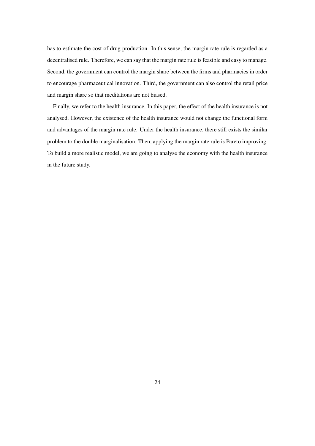has to estimate the cost of drug production. In this sense, the margin rate rule is regarded as a decentralised rule. Therefore, we can say that the margin rate rule is feasible and easy to manage. Second, the government can control the margin share between the firms and pharmacies in order to encourage pharmaceutical innovation. Third, the government can also control the retail price and margin share so that meditations are not biased.

Finally, we refer to the health insurance. In this paper, the effect of the health insurance is not analysed. However, the existence of the health insurance would not change the functional form and advantages of the margin rate rule. Under the health insurance, there still exists the similar problem to the double marginalisation. Then, applying the margin rate rule is Pareto improving. To build a more realistic model, we are going to analyse the economy with the health insurance in the future study.